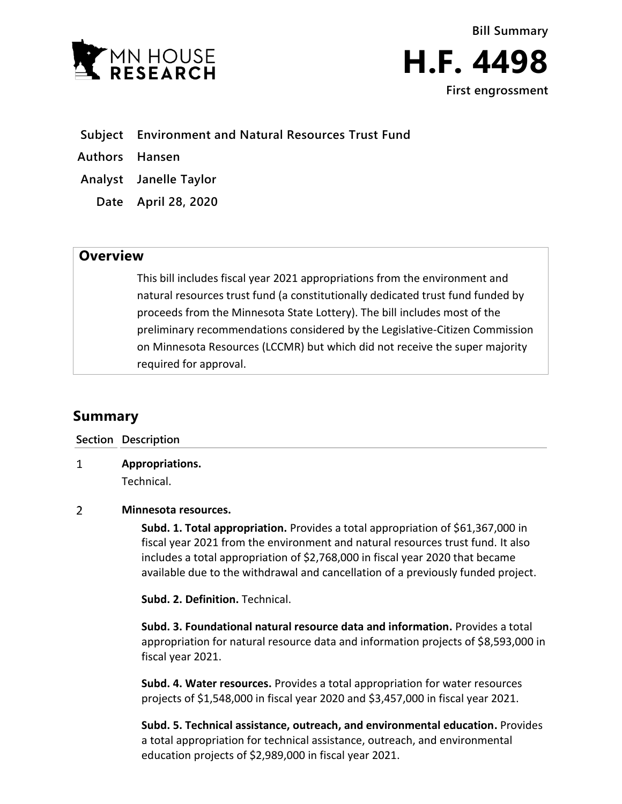

**First engrossment**

- **Subject Environment and Natural Resources Trust Fund**
- **Authors Hansen**
- **Analyst Janelle Taylor**
	- **Date April 28, 2020**

## **Overview**

This bill includes fiscal year 2021 appropriations from the environment and natural resources trust fund (a constitutionally dedicated trust fund funded by proceeds from the Minnesota State Lottery). The bill includes most of the preliminary recommendations considered by the Legislative-Citizen Commission on Minnesota Resources (LCCMR) but which did not receive the super majority required for approval.

# **Summary**

|   | Section Description           |
|---|-------------------------------|
| 1 | Appropriations.<br>Technical. |

### $\overline{2}$ **Minnesota resources.**

**Subd. 1. Total appropriation.** Provides a total appropriation of \$61,367,000 in fiscal year 2021 from the environment and natural resources trust fund. It also includes a total appropriation of \$2,768,000 in fiscal year 2020 that became available due to the withdrawal and cancellation of a previously funded project.

**Subd. 2. Definition.** Technical.

**Subd. 3. Foundational natural resource data and information.** Provides a total appropriation for natural resource data and information projects of \$8,593,000 in fiscal year 2021.

**Subd. 4. Water resources.** Provides a total appropriation for water resources projects of \$1,548,000 in fiscal year 2020 and \$3,457,000 in fiscal year 2021.

**Subd. 5. Technical assistance, outreach, and environmental education.** Provides a total appropriation for technical assistance, outreach, and environmental education projects of \$2,989,000 in fiscal year 2021.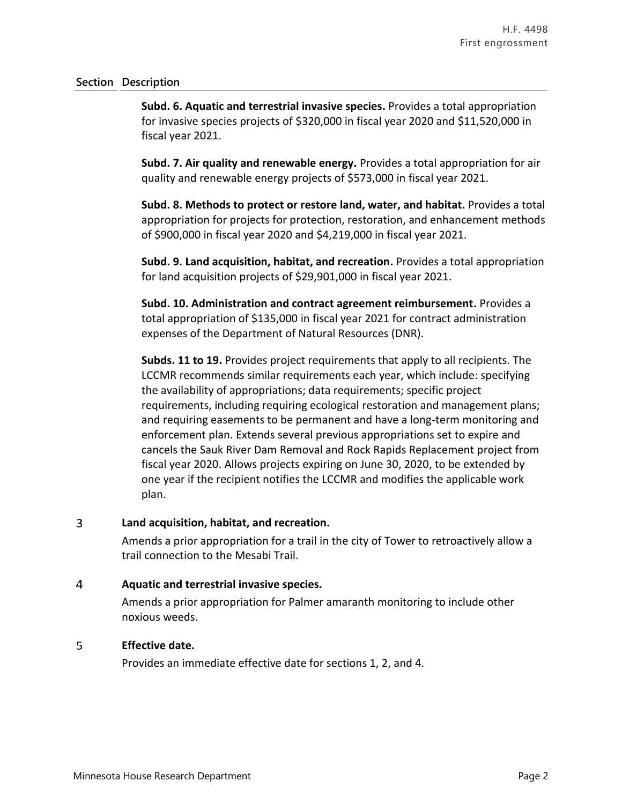### **Section Description**

**Subd. 6. Aquatic and terrestrial invasive species.** Provides a total appropriation for invasive species projects of \$320,000 in fiscal year 2020 and \$11,520,000 in fiscal year 2021.

**Subd. 7. Air quality and renewable energy.** Provides a total appropriation for air quality and renewable energy projects of \$573,000 in fiscal year 2021.

**Subd. 8. Methods to protect or restore land, water, and habitat.** Provides a total appropriation for projects for protection, restoration, and enhancement methods of \$900,000 in fiscal year 2020 and \$4,219,000 in fiscal year 2021.

**Subd. 9. Land acquisition, habitat, and recreation.** Provides a total appropriation for land acquisition projects of \$29,901,000 in fiscal year 2021.

**Subd. 10. Administration and contract agreement reimbursement.** Provides a total appropriation of \$135,000 in fiscal year 2021 for contract administration expenses of the Department of Natural Resources (DNR).

**Subds. 11 to 19.** Provides project requirements that apply to all recipients. The LCCMR recommends similar requirements each year, which include: specifying the availability of appropriations; data requirements; specific project requirements, including requiring ecological restoration and management plans; and requiring easements to be permanent and have a long-term monitoring and enforcement plan. Extends several previous appropriations set to expire and cancels the Sauk River Dam Removal and Rock Rapids Replacement project from fiscal year 2020. Allows projects expiring on June 30, 2020, to be extended by one year if the recipient notifies the LCCMR and modifies the applicable work plan.

### 3 **Land acquisition, habitat, and recreation.**

Amends a prior appropriation for a trail in the city of Tower to retroactively allow a trail connection to the Mesabi Trail.

### $\overline{4}$ **Aquatic and terrestrial invasive species.**

Amends a prior appropriation for Palmer amaranth monitoring to include other noxious weeds.

### 5 **Effective date.**

Provides an immediate effective date for sections 1, 2, and 4.